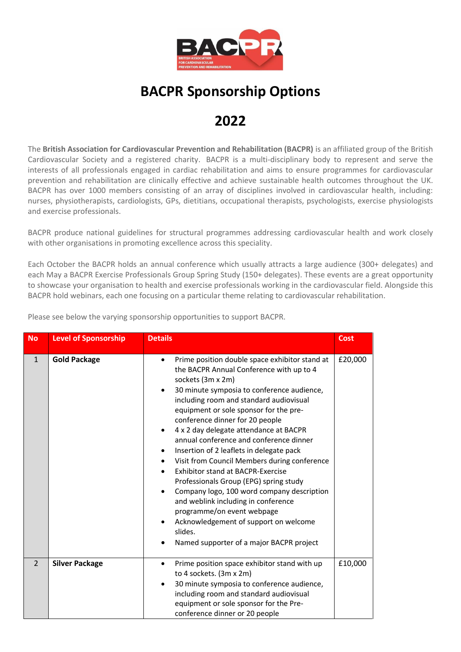

## **BACPR Sponsorship Options**

## **2022**

The **British Association for Cardiovascular Prevention and Rehabilitation (BACPR)** is an affiliated group of the British Cardiovascular Society and a registered charity. BACPR is a multi-disciplinary body to represent and serve the interests of all professionals engaged in cardiac rehabilitation and aims to ensure programmes for cardiovascular prevention and rehabilitation are clinically effective and achieve sustainable health outcomes throughout the UK. BACPR has over 1000 members consisting of an array of disciplines involved in cardiovascular health, including: nurses, physiotherapists, cardiologists, GPs, dietitians, occupational therapists, psychologists, exercise physiologists and exercise professionals.

BACPR produce national guidelines for structural programmes addressing cardiovascular health and work closely with other organisations in promoting excellence across this speciality.

Each October the BACPR holds an annual conference which usually attracts a large audience (300+ delegates) and each May a BACPR Exercise Professionals Group Spring Study (150+ delegates). These events are a great opportunity to showcase your organisation to health and exercise professionals working in the cardiovascular field. Alongside this BACPR hold webinars, each one focusing on a particular theme relating to cardiovascular rehabilitation.

| <b>No</b>      | <b>Level of Sponsorship</b> | <b>Details</b>                                                                                                                                                                                                                                                                                                                                                                                                                                                                                                                                                                                                                                                                                                                                                                                                                                                     | <b>Cost</b> |
|----------------|-----------------------------|--------------------------------------------------------------------------------------------------------------------------------------------------------------------------------------------------------------------------------------------------------------------------------------------------------------------------------------------------------------------------------------------------------------------------------------------------------------------------------------------------------------------------------------------------------------------------------------------------------------------------------------------------------------------------------------------------------------------------------------------------------------------------------------------------------------------------------------------------------------------|-------------|
| $\mathbf{1}$   | <b>Gold Package</b>         | Prime position double space exhibitor stand at<br>$\bullet$<br>the BACPR Annual Conference with up to 4<br>sockets (3m x 2m)<br>30 minute symposia to conference audience,<br>$\bullet$<br>including room and standard audiovisual<br>equipment or sole sponsor for the pre-<br>conference dinner for 20 people<br>4 x 2 day delegate attendance at BACPR<br>$\bullet$<br>annual conference and conference dinner<br>Insertion of 2 leaflets in delegate pack<br>٠<br>Visit from Council Members during conference<br>$\bullet$<br><b>Exhibitor stand at BACPR-Exercise</b><br>Professionals Group (EPG) spring study<br>Company logo, 100 word company description<br>$\bullet$<br>and weblink including in conference<br>programme/on event webpage<br>Acknowledgement of support on welcome<br>$\bullet$<br>slides.<br>Named supporter of a major BACPR project | £20,000     |
| $\overline{2}$ | <b>Silver Package</b>       | Prime position space exhibitor stand with up<br>٠<br>to 4 sockets. (3m x 2m)<br>30 minute symposia to conference audience,<br>$\bullet$<br>including room and standard audiovisual<br>equipment or sole sponsor for the Pre-<br>conference dinner or 20 people                                                                                                                                                                                                                                                                                                                                                                                                                                                                                                                                                                                                     | £10,000     |

Please see below the varying sponsorship opportunities to support BACPR.